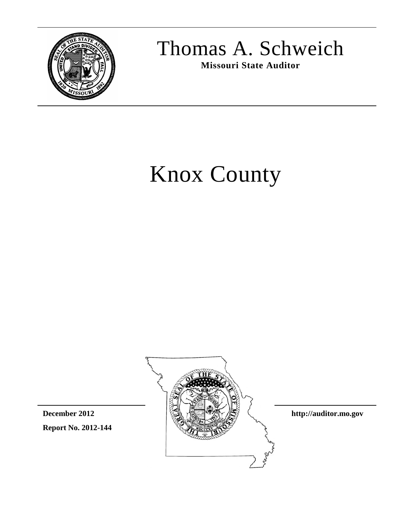

## Thomas A. Schweich

**Missouri State Auditor**

# Knox County



**Report No. 2012-144**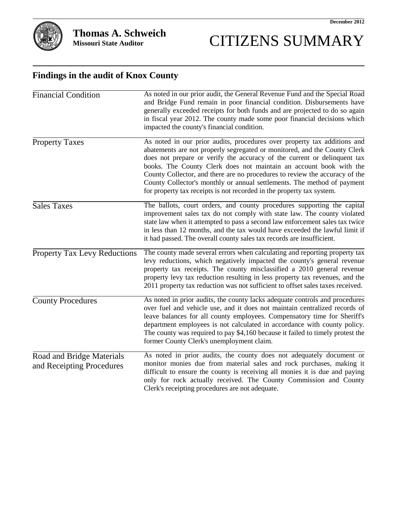

## CITIZENS SUMMARY

#### **Findings in the audit of Knox County**

| <b>Financial Condition</b>                             | As noted in our prior audit, the General Revenue Fund and the Special Road<br>and Bridge Fund remain in poor financial condition. Disbursements have<br>generally exceeded receipts for both funds and are projected to do so again<br>in fiscal year 2012. The county made some poor financial decisions which<br>impacted the county's financial condition.                                                                                                                                                                              |
|--------------------------------------------------------|--------------------------------------------------------------------------------------------------------------------------------------------------------------------------------------------------------------------------------------------------------------------------------------------------------------------------------------------------------------------------------------------------------------------------------------------------------------------------------------------------------------------------------------------|
| <b>Property Taxes</b>                                  | As noted in our prior audits, procedures over property tax additions and<br>abatements are not properly segregated or monitored, and the County Clerk<br>does not prepare or verify the accuracy of the current or delinquent tax<br>books. The County Clerk does not maintain an account book with the<br>County Collector, and there are no procedures to review the accuracy of the<br>County Collector's monthly or annual settlements. The method of payment<br>for property tax receipts is not recorded in the property tax system. |
| <b>Sales Taxes</b>                                     | The ballots, court orders, and county procedures supporting the capital<br>improvement sales tax do not comply with state law. The county violated<br>state law when it attempted to pass a second law enforcement sales tax twice<br>in less than 12 months, and the tax would have exceeded the lawful limit if<br>it had passed. The overall county sales tax records are insufficient.                                                                                                                                                 |
| <b>Property Tax Levy Reductions</b>                    | The county made several errors when calculating and reporting property tax<br>levy reductions, which negatively impacted the county's general revenue<br>property tax receipts. The county misclassified a 2010 general revenue<br>property levy tax reduction resulting in less property tax revenues, and the<br>2011 property tax reduction was not sufficient to offset sales taxes received.                                                                                                                                          |
| <b>County Procedures</b>                               | As noted in prior audits, the county lacks adequate controls and procedures<br>over fuel and vehicle use, and it does not maintain centralized records of<br>leave balances for all county employees. Compensatory time for Sheriff's<br>department employees is not calculated in accordance with county policy.<br>The county was required to pay \$4,160 because it failed to timely protest the<br>former County Clerk's unemployment claim.                                                                                           |
| Road and Bridge Materials<br>and Receipting Procedures | As noted in prior audits, the county does not adequately document or<br>monitor monies due from material sales and rock purchases, making it<br>difficult to ensure the county is receiving all monies it is due and paying<br>only for rock actually received. The County Commission and County<br>Clerk's receipting procedures are not adequate.                                                                                                                                                                                        |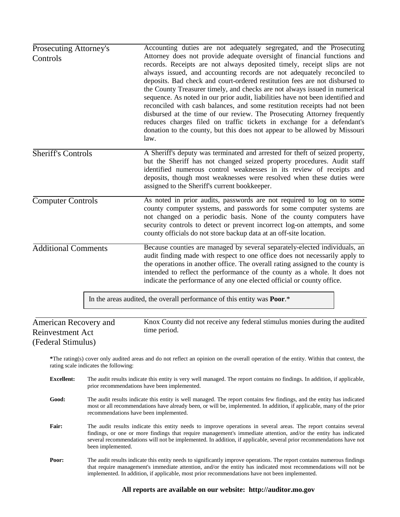| Prosecuting Attorney's<br>Controls                              |                                       | Accounting duties are not adequately segregated, and the Prosecuting<br>Attorney does not provide adequate oversight of financial functions and<br>records. Receipts are not always deposited timely, receipt slips are not<br>always issued, and accounting records are not adequately reconciled to<br>deposits. Bad check and court-ordered restitution fees are not disbursed to<br>the County Treasurer timely, and checks are not always issued in numerical<br>sequence. As noted in our prior audit, liabilities have not been identified and<br>reconciled with cash balances, and some restitution receipts had not been<br>disbursed at the time of our review. The Prosecuting Attorney frequently<br>reduces charges filed on traffic tickets in exchange for a defendant's<br>donation to the county, but this does not appear to be allowed by Missouri<br>law. |  |  |  |  |  |
|-----------------------------------------------------------------|---------------------------------------|--------------------------------------------------------------------------------------------------------------------------------------------------------------------------------------------------------------------------------------------------------------------------------------------------------------------------------------------------------------------------------------------------------------------------------------------------------------------------------------------------------------------------------------------------------------------------------------------------------------------------------------------------------------------------------------------------------------------------------------------------------------------------------------------------------------------------------------------------------------------------------|--|--|--|--|--|
| <b>Sheriff's Controls</b>                                       |                                       | A Sheriff's deputy was terminated and arrested for theft of seized property,<br>but the Sheriff has not changed seized property procedures. Audit staff<br>identified numerous control weaknesses in its review of receipts and<br>deposits, though most weaknesses were resolved when these duties were<br>assigned to the Sheriff's current bookkeeper.                                                                                                                                                                                                                                                                                                                                                                                                                                                                                                                      |  |  |  |  |  |
| <b>Computer Controls</b>                                        |                                       | As noted in prior audits, passwords are not required to log on to some<br>county computer systems, and passwords for some computer systems are<br>not changed on a periodic basis. None of the county computers have<br>security controls to detect or prevent incorrect log-on attempts, and some<br>county officials do not store backup data at an off-site location.                                                                                                                                                                                                                                                                                                                                                                                                                                                                                                       |  |  |  |  |  |
| <b>Additional Comments</b>                                      |                                       | Because counties are managed by several separately-elected individuals, an<br>audit finding made with respect to one office does not necessarily apply to<br>the operations in another office. The overall rating assigned to the county is<br>intended to reflect the performance of the county as a whole. It does not<br>indicate the performance of any one elected official or county office.                                                                                                                                                                                                                                                                                                                                                                                                                                                                             |  |  |  |  |  |
|                                                                 |                                       | In the areas audited, the overall performance of this entity was <b>Poor</b> .*                                                                                                                                                                                                                                                                                                                                                                                                                                                                                                                                                                                                                                                                                                                                                                                                |  |  |  |  |  |
| American Recovery and<br>Reinvestment Act<br>(Federal Stimulus) |                                       | Knox County did not receive any federal stimulus monies during the audited<br>time period.                                                                                                                                                                                                                                                                                                                                                                                                                                                                                                                                                                                                                                                                                                                                                                                     |  |  |  |  |  |
|                                                                 | rating scale indicates the following: | *The rating(s) cover only audited areas and do not reflect an opinion on the overall operation of the entity. Within that context, the                                                                                                                                                                                                                                                                                                                                                                                                                                                                                                                                                                                                                                                                                                                                         |  |  |  |  |  |
| <b>Excellent:</b>                                               |                                       | The audit results indicate this entity is very well managed. The report contains no findings. In addition, if applicable,<br>prior recommendations have been implemented.                                                                                                                                                                                                                                                                                                                                                                                                                                                                                                                                                                                                                                                                                                      |  |  |  |  |  |

- Good: The audit results indicate this entity is well managed. The report contains few findings, and the entity has indicated most or all recommendations have already been, or will be, implemented. In addition, if applicable, many of the prior recommendations have been implemented.
- **Fair:** The audit results indicate this entity needs to improve operations in several areas. The report contains several findings, or one or more findings that require management's immediate attention, and/or the entity has indicated several recommendations will not be implemented. In addition, if applicable, several prior recommendations have not been implemented.
- Poor: The audit results indicate this entity needs to significantly improve operations. The report contains numerous findings that require management's immediate attention, and/or the entity has indicated most recommendations will not be implemented. In addition, if applicable, most prior recommendations have not been implemented.

#### **All reports are available on our website: http://auditor.mo.gov**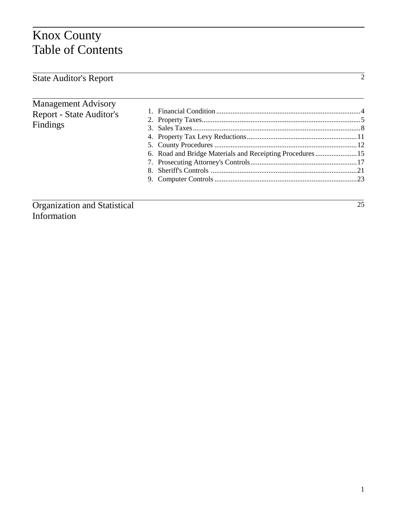## Knox County Table of Contents

|  | <b>State Auditor's Report</b> |  |
|--|-------------------------------|--|
|--|-------------------------------|--|

#### Management Advisory Report - State Auditor's Findings

| 6. Road and Bridge Materials and Receipting Procedures15 |  |
|----------------------------------------------------------|--|
|                                                          |  |
|                                                          |  |
|                                                          |  |
|                                                          |  |

Organization and Statistical Information

 $\overline{2}$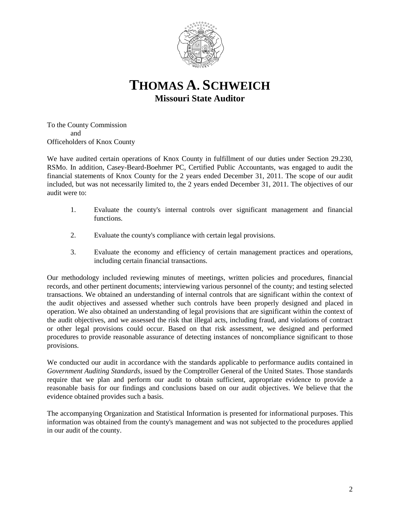

### **THOMAS A. SCHWEICH Missouri State Auditor**

To the County Commission and Officeholders of Knox County

We have audited certain operations of Knox County in fulfillment of our duties under Section 29.230, RSMo. In addition, Casey-Beard-Boehmer PC, Certified Public Accountants, was engaged to audit the financial statements of Knox County for the 2 years ended December 31, 2011. The scope of our audit included, but was not necessarily limited to, the 2 years ended December 31, 2011. The objectives of our audit were to:

- 1. Evaluate the county's internal controls over significant management and financial functions.
- 2. Evaluate the county's compliance with certain legal provisions.
- 3. Evaluate the economy and efficiency of certain management practices and operations, including certain financial transactions.

Our methodology included reviewing minutes of meetings, written policies and procedures, financial records, and other pertinent documents; interviewing various personnel of the county; and testing selected transactions. We obtained an understanding of internal controls that are significant within the context of the audit objectives and assessed whether such controls have been properly designed and placed in operation. We also obtained an understanding of legal provisions that are significant within the context of the audit objectives, and we assessed the risk that illegal acts, including fraud, and violations of contract or other legal provisions could occur. Based on that risk assessment, we designed and performed procedures to provide reasonable assurance of detecting instances of noncompliance significant to those provisions.

We conducted our audit in accordance with the standards applicable to performance audits contained in *Government Auditing Standards*, issued by the Comptroller General of the United States. Those standards require that we plan and perform our audit to obtain sufficient, appropriate evidence to provide a reasonable basis for our findings and conclusions based on our audit objectives. We believe that the evidence obtained provides such a basis.

The accompanying Organization and Statistical Information is presented for informational purposes. This information was obtained from the county's management and was not subjected to the procedures applied in our audit of the county.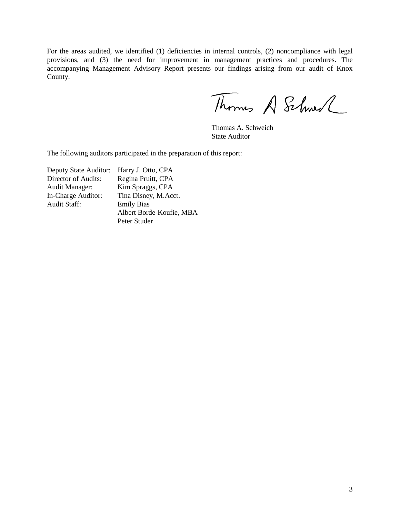For the areas audited, we identified (1) deficiencies in internal controls, (2) noncompliance with legal provisions, and (3) the need for improvement in management practices and procedures. The accompanying Management Advisory Report presents our findings arising from our audit of Knox County.

Thomas A Schwell

Thomas A. Schweich State Auditor

The following auditors participated in the preparation of this report:

| Deputy State Auditor: | Harry J. Otto, CPA       |
|-----------------------|--------------------------|
| Director of Audits:   | Regina Pruitt, CPA       |
| <b>Audit Manager:</b> | Kim Spraggs, CPA         |
| In-Charge Auditor:    | Tina Disney, M.Acct.     |
| <b>Audit Staff:</b>   | <b>Emily Bias</b>        |
|                       | Albert Borde-Koufie, MBA |
|                       | Peter Studer             |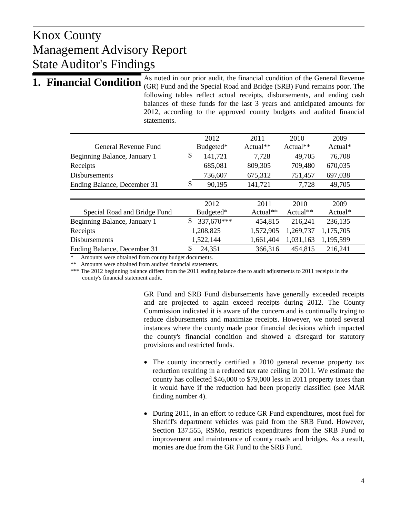As noted in our prior audit, the financial condition of the General Revenue **1. Financial Condition** As noted in our prior audit, the financial condition of the General Reventie **1. Financial Condition** (GR) Fund and the Special Road and Bridge (SRB) Fund remains poor. The following tables reflect actual receipts, disbursements, and ending cash balances of these funds for the last 3 years and anticipated amounts for 2012, according to the approved county budgets and audited financial statements.

|                              |    | 2012       | 2011       | 2010       |             | 2009      |  |
|------------------------------|----|------------|------------|------------|-------------|-----------|--|
| General Revenue Fund         |    | Budgeted*  | $Actual**$ | $Actual**$ |             | $Actual*$ |  |
| Beginning Balance, January 1 | \$ | 141,721    | 7,728      |            | 49,705      | 76,708    |  |
| Receipts                     |    | 685,081    | 809,305    |            | 709,480     | 670,035   |  |
| <b>Disbursements</b>         |    | 736,607    | 675,312    |            | 751,457     | 697,038   |  |
| Ending Balance, December 31  | \$ | 90,195     | 141,721    |            | 7,728       | 49,705    |  |
|                              |    |            |            |            |             |           |  |
|                              |    | 2012       | 2011       |            | 2010        | 2009      |  |
| Special Road and Bridge Fund |    | Budgeted*  | $Actual**$ |            | Actual $**$ | $Actual*$ |  |
| Beginning Balance, January 1 | \$ | 337,670*** | 454,815    |            | 216,241     | 236,135   |  |
| Receipts                     |    | 1,208,825  | 1,572,905  |            | 1,269,737   | 1,175,705 |  |
| <b>Disbursements</b>         |    | 1,522,144  | 1,661,404  |            | 1,031,163   | 1,195,599 |  |
| Ending Balance, December 31  | S  | 24,351     | 366,316    |            | 454,815     | 216,241   |  |

\* Amounts were obtained from county budget documents.

\*\* Amounts were obtained from audited financial statements.

\*\*\* The 2012 beginning balance differs from the 2011 ending balance due to audit adjustments to 2011 receipts in the county's financial statement audit.

> GR Fund and SRB Fund disbursements have generally exceeded receipts and are projected to again exceed receipts during 2012. The County Commission indicated it is aware of the concern and is continually trying to reduce disbursements and maximize receipts. However, we noted several instances where the county made poor financial decisions which impacted the county's financial condition and showed a disregard for statutory provisions and restricted funds.

- The county incorrectly certified a 2010 general revenue property tax reduction resulting in a reduced tax rate ceiling in 2011. We estimate the county has collected \$46,000 to \$79,000 less in 2011 property taxes than it would have if the reduction had been properly classified (see MAR finding number 4).
- During 2011, in an effort to reduce GR Fund expenditures, most fuel for Sheriff's department vehicles was paid from the SRB Fund. However, Section 137.555, RSMo, restricts expenditures from the SRB Fund to improvement and maintenance of county roads and bridges. As a result, monies are due from the GR Fund to the SRB Fund.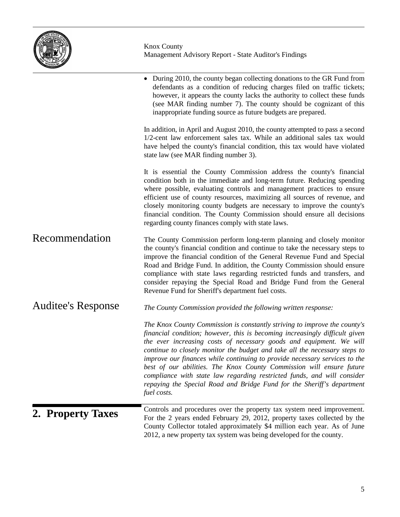

| 2. Property Taxes         | Controls and procedures over the property tax system need improvement.<br>For the 2 years ended February 29, 2012, property taxes collected by the<br>County Collector totaled approximately \$4 million each year. As of June<br>2012, a new property tax system was being developed for the county.                                                                                                                                                                                                                                                                                                                                   |
|---------------------------|-----------------------------------------------------------------------------------------------------------------------------------------------------------------------------------------------------------------------------------------------------------------------------------------------------------------------------------------------------------------------------------------------------------------------------------------------------------------------------------------------------------------------------------------------------------------------------------------------------------------------------------------|
|                           | The Knox County Commission is constantly striving to improve the county's<br>financial condition; however, this is becoming increasingly difficult given<br>the ever increasing costs of necessary goods and equipment. We will<br>continue to closely monitor the budget and take all the necessary steps to<br>improve our finances while continuing to provide necessary services to the<br>best of our abilities. The Knox County Commission will ensure future<br>compliance with state law regarding restricted funds, and will consider<br>repaying the Special Road and Bridge Fund for the Sheriff's department<br>fuel costs. |
| <b>Auditee's Response</b> | The County Commission provided the following written response:                                                                                                                                                                                                                                                                                                                                                                                                                                                                                                                                                                          |
| Recommendation            | The County Commission perform long-term planning and closely monitor<br>the county's financial condition and continue to take the necessary steps to<br>improve the financial condition of the General Revenue Fund and Special<br>Road and Bridge Fund. In addition, the County Commission should ensure<br>compliance with state laws regarding restricted funds and transfers, and<br>consider repaying the Special Road and Bridge Fund from the General<br>Revenue Fund for Sheriff's department fuel costs.                                                                                                                       |
|                           | It is essential the County Commission address the county's financial<br>condition both in the immediate and long-term future. Reducing spending<br>where possible, evaluating controls and management practices to ensure<br>efficient use of county resources, maximizing all sources of revenue, and<br>closely monitoring county budgets are necessary to improve the county's<br>financial condition. The County Commission should ensure all decisions<br>regarding county finances comply with state laws.                                                                                                                        |
|                           | In addition, in April and August 2010, the county attempted to pass a second<br>1/2-cent law enforcement sales tax. While an additional sales tax would<br>have helped the county's financial condition, this tax would have violated<br>state law (see MAR finding number 3).                                                                                                                                                                                                                                                                                                                                                          |
|                           | • During 2010, the county began collecting donations to the GR Fund from<br>defendants as a condition of reducing charges filed on traffic tickets;<br>however, it appears the county lacks the authority to collect these funds<br>(see MAR finding number 7). The county should be cognizant of this<br>inappropriate funding source as future budgets are prepared.                                                                                                                                                                                                                                                                  |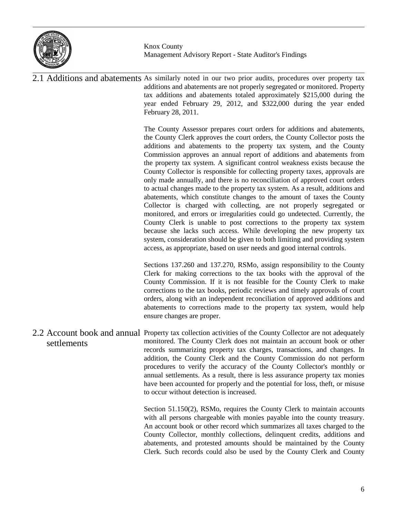

2.1 Additions and abatements As similarly noted in our two prior audits, procedures over property tax additions and abatements are not properly segregated or monitored. Property tax additions and abatements totaled approximately \$215,000 during the year ended February 29, 2012, and \$322,000 during the year ended February 28, 2011. The County Assessor prepares court orders for additions and abatements, the County Clerk approves the court orders, the County Collector posts the additions and abatements to the property tax system, and the County Commission approves an annual report of additions and abatements from the property tax system. A significant control weakness exists because the County Collector is responsible for collecting property taxes, approvals are only made annually, and there is no reconciliation of approved court orders to actual changes made to the property tax system. As a result, additions and abatements, which constitute changes to the amount of taxes the County Collector is charged with collecting, are not properly segregated or monitored, and errors or irregularities could go undetected. Currently, the County Clerk is unable to post corrections to the property tax system because she lacks such access. While developing the new property tax system, consideration should be given to both limiting and providing system access, as appropriate, based on user needs and good internal controls. Sections 137.260 and 137.270, RSMo, assign responsibility to the County Clerk for making corrections to the tax books with the approval of the County Commission. If it is not feasible for the County Clerk to make corrections to the tax books, periodic reviews and timely approvals of court orders, along with an independent reconciliation of approved additions and abatements to corrections made to the property tax system, would help ensure changes are proper. 2.2 Account book and annual Property tax collection activities of the County Collector are not adequately monitored. The County Clerk does not maintain an account book or other records summarizing property tax charges, transactions, and changes. In addition, the County Clerk and the County Commission do not perform procedures to verify the accuracy of the County Collector's monthly or annual settlements. As a result, there is less assurance property tax monies have been accounted for properly and the potential for loss, theft, or misuse to occur without detection is increased. Section 51.150(2), RSMo, requires the County Clerk to maintain accounts with all persons chargeable with monies payable into the county treasury. An account book or other record which summarizes all taxes charged to the County Collector, monthly collections, delinquent credits, additions and settlements

> abatements, and protested amounts should be maintained by the County Clerk. Such records could also be used by the County Clerk and County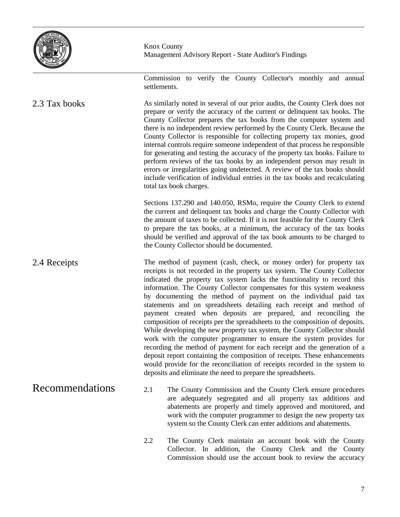

Recommendations

Knox County Management Advisory Report - State Auditor's Findings

Commission to verify the County Collector's monthly and annual settlements.

As similarly noted in several of our prior audits, the County Clerk does not prepare or verify the accuracy of the current or delinquent tax books. The County Collector prepares the tax books from the computer system and there is no independent review performed by the County Clerk. Because the County Collector is responsible for collecting property tax monies, good internal controls require someone independent of that process be responsible for generating and testing the accuracy of the property tax books. Failure to perform reviews of the tax books by an independent person may result in errors or irregularities going undetected. A review of the tax books should include verification of individual entries in the tax books and recalculating total tax book charges. 2.3 Tax books

> Sections 137.290 and 140.050, RSMo, require the County Clerk to extend the current and delinquent tax books and charge the County Collector with the amount of taxes to be collected. If it is not feasible for the County Clerk to prepare the tax books, at a minimum, the accuracy of the tax books should be verified and approval of the tax book amounts to be charged to the County Collector should be documented.

The method of payment (cash, check, or money order) for property tax receipts is not recorded in the property tax system. The County Collector indicated the property tax system lacks the functionality to record this information. The County Collector compensates for this system weakness by documenting the method of payment on the individual paid tax statements and on spreadsheets detailing each receipt and method of payment created when deposits are prepared, and reconciling the composition of receipts per the spreadsheets to the composition of deposits. While developing the new property tax system, the County Collector should work with the computer programmer to ensure the system provides for recording the method of payment for each receipt and the generation of a deposit report containing the composition of receipts. These enhancements would provide for the reconciliation of receipts recorded in the system to deposits and eliminate the need to prepare the spreadsheets. 2.4 Receipts

- 2.1 The County Commission and the County Clerk ensure procedures are adequately segregated and all property tax additions and abatements are properly and timely approved and monitored, and work with the computer programmer to design the new property tax system so the County Clerk can enter additions and abatements.
	- 2.2 The County Clerk maintain an account book with the County Collector. In addition, the County Clerk and the County Commission should use the account book to review the accuracy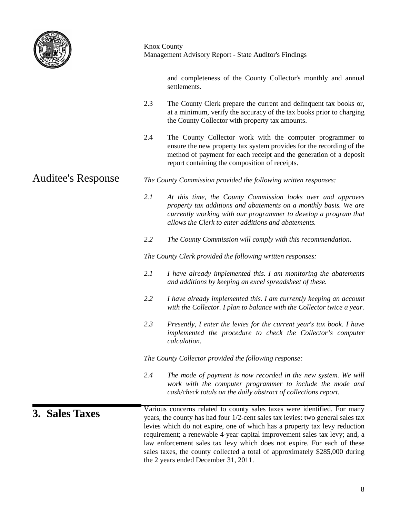

| $\frac{1}{2}$      |                                                                                                                                                                                                                                                                                                                                                                                                                                                                                                                           |
|--------------------|---------------------------------------------------------------------------------------------------------------------------------------------------------------------------------------------------------------------------------------------------------------------------------------------------------------------------------------------------------------------------------------------------------------------------------------------------------------------------------------------------------------------------|
|                    | and completeness of the County Collector's monthly and annual<br>settlements.                                                                                                                                                                                                                                                                                                                                                                                                                                             |
|                    | 2.3<br>The County Clerk prepare the current and delinquent tax books or,<br>at a minimum, verify the accuracy of the tax books prior to charging<br>the County Collector with property tax amounts.                                                                                                                                                                                                                                                                                                                       |
|                    | 2.4<br>The County Collector work with the computer programmer to<br>ensure the new property tax system provides for the recording of the<br>method of payment for each receipt and the generation of a deposit<br>report containing the composition of receipts.                                                                                                                                                                                                                                                          |
| Auditee's Response | The County Commission provided the following written responses:                                                                                                                                                                                                                                                                                                                                                                                                                                                           |
|                    | 2.1<br>At this time, the County Commission looks over and approves<br>property tax additions and abatements on a monthly basis. We are<br>currently working with our programmer to develop a program that<br>allows the Clerk to enter additions and abatements.                                                                                                                                                                                                                                                          |
|                    | 2.2<br>The County Commission will comply with this recommendation.                                                                                                                                                                                                                                                                                                                                                                                                                                                        |
|                    | The County Clerk provided the following written responses:                                                                                                                                                                                                                                                                                                                                                                                                                                                                |
|                    | 2.1<br>I have already implemented this. I am monitoring the abatements<br>and additions by keeping an excel spreadsheet of these.                                                                                                                                                                                                                                                                                                                                                                                         |
|                    | 2.2<br>I have already implemented this. I am currently keeping an account<br>with the Collector. I plan to balance with the Collector twice a year.                                                                                                                                                                                                                                                                                                                                                                       |
|                    | 2.3<br>Presently, I enter the levies for the current year's tax book. I have<br>implemented the procedure to check the Collector's computer<br>calculation.                                                                                                                                                                                                                                                                                                                                                               |
|                    | The County Collector provided the following response:                                                                                                                                                                                                                                                                                                                                                                                                                                                                     |
|                    | 2.4<br>The mode of payment is now recorded in the new system. We will<br>work with the computer programmer to include the mode and<br>cash/check totals on the daily abstract of collections report.                                                                                                                                                                                                                                                                                                                      |
| 3. Sales Taxes     | Various concerns related to county sales taxes were identified. For many<br>years, the county has had four 1/2-cent sales tax levies: two general sales tax<br>levies which do not expire, one of which has a property tax levy reduction<br>requirement; a renewable 4-year capital improvement sales tax levy; and, a<br>law enforcement sales tax levy which does not expire. For each of these<br>sales taxes, the county collected a total of approximately \$285,000 during<br>the 2 years ended December 31, 2011. |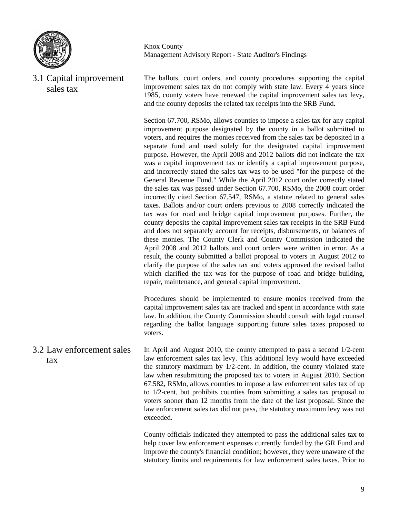

The ballots, court orders, and county procedures supporting the capital improvement sales tax do not comply with state law. Every 4 years since 1985, county voters have renewed the capital improvement sales tax levy, and the county deposits the related tax receipts into the SRB Fund. Section 67.700, RSMo, allows counties to impose a sales tax for any capital improvement purpose designated by the county in a ballot submitted to voters, and requires the monies received from the sales tax be deposited in a separate fund and used solely for the designated capital improvement purpose. However, the April 2008 and 2012 ballots did not indicate the tax was a capital improvement tax or identify a capital improvement purpose, and incorrectly stated the sales tax was to be used "for the purpose of the General Revenue Fund." While the April 2012 court order correctly stated the sales tax was passed under Section 67.700, RSMo, the 2008 court order incorrectly cited Section 67.547, RSMo, a statute related to general sales taxes. Ballots and/or court orders previous to 2008 correctly indicated the tax was for road and bridge capital improvement purposes. Further, the county deposits the capital improvement sales tax receipts in the SRB Fund and does not separately account for receipts, disbursements, or balances of these monies. The County Clerk and County Commission indicated the April 2008 and 2012 ballots and court orders were written in error. As a result, the county submitted a ballot proposal to voters in August 2012 to clarify the purpose of the sales tax and voters approved the revised ballot which clarified the tax was for the purpose of road and bridge building, repair, maintenance, and general capital improvement. Procedures should be implemented to ensure monies received from the capital improvement sales tax are tracked and spent in accordance with state law. In addition, the County Commission should consult with legal counsel regarding the ballot language supporting future sales taxes proposed to voters. In April and August 2010, the county attempted to pass a second 1/2-cent law enforcement sales tax levy. This additional levy would have exceeded the statutory maximum by 1/2-cent. In addition, the county violated state law when resubmitting the proposed tax to voters in August 2010. Section 67.582, RSMo, allows counties to impose a law enforcement sales tax of up to 1/2-cent, but prohibits counties from submitting a sales tax proposal to voters sooner than 12 months from the date of the last proposal. Since the law enforcement sales tax did not pass, the statutory maximum levy was not exceeded. 3.1 Capital improvement sales tax 3.2 Law enforcement sales tax

County officials indicated they attempted to pass the additional sales tax to help cover law enforcement expenses currently funded by the GR Fund and improve the county's financial condition; however, they were unaware of the statutory limits and requirements for law enforcement sales taxes. Prior to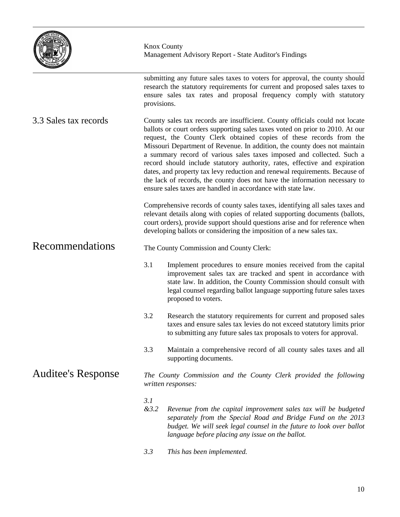

|                           | provisions. | submitting any future sales taxes to voters for approval, the county should<br>research the statutory requirements for current and proposed sales taxes to<br>ensure sales tax rates and proposal frequency comply with statutory                                                                                                                                                                                                                                                                                                                                                                                                                                                                     |  |  |  |  |
|---------------------------|-------------|-------------------------------------------------------------------------------------------------------------------------------------------------------------------------------------------------------------------------------------------------------------------------------------------------------------------------------------------------------------------------------------------------------------------------------------------------------------------------------------------------------------------------------------------------------------------------------------------------------------------------------------------------------------------------------------------------------|--|--|--|--|
| 3.3 Sales tax records     |             | County sales tax records are insufficient. County officials could not locate<br>ballots or court orders supporting sales taxes voted on prior to 2010. At our<br>request, the County Clerk obtained copies of these records from the<br>Missouri Department of Revenue. In addition, the county does not maintain<br>a summary record of various sales taxes imposed and collected. Such a<br>record should include statutory authority, rates, effective and expiration<br>dates, and property tax levy reduction and renewal requirements. Because of<br>the lack of records, the county does not have the information necessary to<br>ensure sales taxes are handled in accordance with state law. |  |  |  |  |
|                           |             | Comprehensive records of county sales taxes, identifying all sales taxes and<br>relevant details along with copies of related supporting documents (ballots,<br>court orders), provide support should questions arise and for reference when<br>developing ballots or considering the imposition of a new sales tax.                                                                                                                                                                                                                                                                                                                                                                                  |  |  |  |  |
| Recommendations           |             | The County Commission and County Clerk:                                                                                                                                                                                                                                                                                                                                                                                                                                                                                                                                                                                                                                                               |  |  |  |  |
|                           | 3.1         | Implement procedures to ensure monies received from the capital<br>improvement sales tax are tracked and spent in accordance with<br>state law. In addition, the County Commission should consult with<br>legal counsel regarding ballot language supporting future sales taxes<br>proposed to voters.                                                                                                                                                                                                                                                                                                                                                                                                |  |  |  |  |
|                           | 3.2         | Research the statutory requirements for current and proposed sales<br>taxes and ensure sales tax levies do not exceed statutory limits prior<br>to submitting any future sales tax proposals to voters for approval.                                                                                                                                                                                                                                                                                                                                                                                                                                                                                  |  |  |  |  |
|                           | 3.3         | Maintain a comprehensive record of all county sales taxes and all<br>supporting documents.                                                                                                                                                                                                                                                                                                                                                                                                                                                                                                                                                                                                            |  |  |  |  |
| <b>Auditee's Response</b> |             | The County Commission and the County Clerk provided the following<br>written responses:                                                                                                                                                                                                                                                                                                                                                                                                                                                                                                                                                                                                               |  |  |  |  |
|                           | 3.1<br>&3.2 | Revenue from the capital improvement sales tax will be budgeted<br>separately from the Special Road and Bridge Fund on the 2013<br>budget. We will seek legal counsel in the future to look over ballot<br>language before placing any issue on the ballot.                                                                                                                                                                                                                                                                                                                                                                                                                                           |  |  |  |  |
|                           | 3.3         | This has been implemented.                                                                                                                                                                                                                                                                                                                                                                                                                                                                                                                                                                                                                                                                            |  |  |  |  |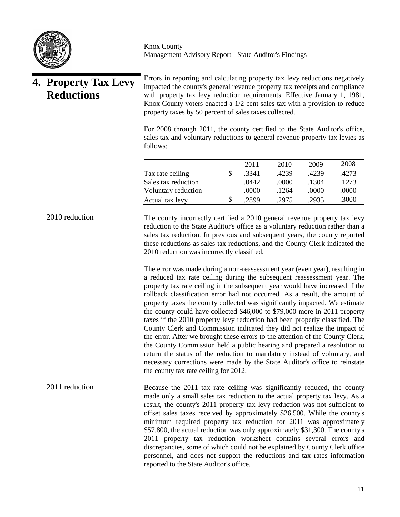|                                           |                | <b>Knox County</b><br>Management Advisory Report - State Auditor's Findings                                                                                                                                                                                                                                                                                                                                                                                                                                                                                                                                                                                                                                                                                                                                                                                                                                                                                                                                                                                                                                                                                                                                                |    |       |       |       |       |
|-------------------------------------------|----------------|----------------------------------------------------------------------------------------------------------------------------------------------------------------------------------------------------------------------------------------------------------------------------------------------------------------------------------------------------------------------------------------------------------------------------------------------------------------------------------------------------------------------------------------------------------------------------------------------------------------------------------------------------------------------------------------------------------------------------------------------------------------------------------------------------------------------------------------------------------------------------------------------------------------------------------------------------------------------------------------------------------------------------------------------------------------------------------------------------------------------------------------------------------------------------------------------------------------------------|----|-------|-------|-------|-------|
| 4. Property Tax Levy<br><b>Reductions</b> |                | Errors in reporting and calculating property tax levy reductions negatively<br>impacted the county's general revenue property tax receipts and compliance<br>with property tax levy reduction requirements. Effective January 1, 1981,<br>Knox County voters enacted a 1/2-cent sales tax with a provision to reduce<br>property taxes by 50 percent of sales taxes collected.                                                                                                                                                                                                                                                                                                                                                                                                                                                                                                                                                                                                                                                                                                                                                                                                                                             |    |       |       |       |       |
|                                           |                | For 2008 through 2011, the county certified to the State Auditor's office,<br>sales tax and voluntary reductions to general revenue property tax levies as<br>follows:                                                                                                                                                                                                                                                                                                                                                                                                                                                                                                                                                                                                                                                                                                                                                                                                                                                                                                                                                                                                                                                     |    |       |       |       |       |
|                                           |                |                                                                                                                                                                                                                                                                                                                                                                                                                                                                                                                                                                                                                                                                                                                                                                                                                                                                                                                                                                                                                                                                                                                                                                                                                            |    | 2011  | 2010  | 2009  | 2008  |
|                                           |                | Tax rate ceiling                                                                                                                                                                                                                                                                                                                                                                                                                                                                                                                                                                                                                                                                                                                                                                                                                                                                                                                                                                                                                                                                                                                                                                                                           | \$ | .3341 | .4239 | .4239 | .4273 |
|                                           |                | Sales tax reduction                                                                                                                                                                                                                                                                                                                                                                                                                                                                                                                                                                                                                                                                                                                                                                                                                                                                                                                                                                                                                                                                                                                                                                                                        |    | .0442 | .0000 | .1304 | .1273 |
|                                           |                | Voluntary reduction                                                                                                                                                                                                                                                                                                                                                                                                                                                                                                                                                                                                                                                                                                                                                                                                                                                                                                                                                                                                                                                                                                                                                                                                        |    | .0000 | .1264 | .0000 | .0000 |
|                                           |                | Actual tax levy                                                                                                                                                                                                                                                                                                                                                                                                                                                                                                                                                                                                                                                                                                                                                                                                                                                                                                                                                                                                                                                                                                                                                                                                            | \$ | .2899 | .2975 | .2935 | .3000 |
|                                           |                | sales tax reduction. In previous and subsequent years, the county reported<br>these reductions as sales tax reductions, and the County Clerk indicated the<br>2010 reduction was incorrectly classified.<br>The error was made during a non-reassessment year (even year), resulting in<br>a reduced tax rate ceiling during the subsequent reassessment year. The<br>property tax rate ceiling in the subsequent year would have increased if the<br>rollback classification error had not occurred. As a result, the amount of<br>property taxes the county collected was significantly impacted. We estimate<br>the county could have collected \$46,000 to \$79,000 more in 2011 property<br>taxes if the 2010 property levy reduction had been properly classified. The<br>County Clerk and Commission indicated they did not realize the impact of<br>the error. After we brought these errors to the attention of the County Clerk,<br>the County Commission held a public hearing and prepared a resolution to<br>return the status of the reduction to mandatory instead of voluntary, and<br>necessary corrections were made by the State Auditor's office to reinstate<br>the county tax rate ceiling for 2012. |    |       |       |       |       |
|                                           | 2011 reduction | Because the 2011 tax rate ceiling was significantly reduced, the county<br>made only a small sales tax reduction to the actual property tax levy. As a<br>result, the county's 2011 property tax levy reduction was not sufficient to<br>offset sales taxes received by approximately \$26,500. While the county's<br>minimum required property tax reduction for 2011 was approximately<br>\$57,800, the actual reduction was only approximately \$31,300. The county's<br>2011 property tax reduction worksheet contains several errors and<br>discrepancies, some of which could not be explained by County Clerk office<br>personnel, and does not support the reductions and tax rates information<br>reported to the State Auditor's office.                                                                                                                                                                                                                                                                                                                                                                                                                                                                         |    |       |       |       |       |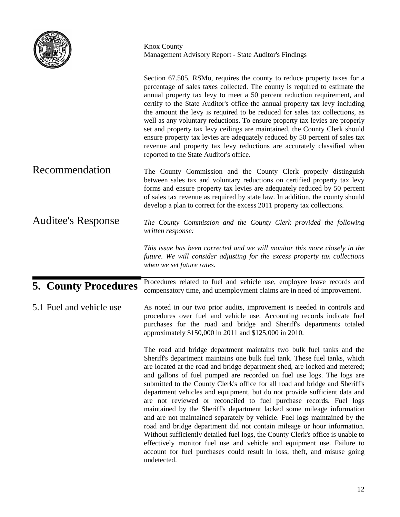|                             | <b>Knox County</b><br>Management Advisory Report - State Auditor's Findings                                                                                                                                                                                                                                                                                                                                                                                                                                                                                                                                                                                                                                                                                                                                                                                                                                                                                                                                                              |
|-----------------------------|------------------------------------------------------------------------------------------------------------------------------------------------------------------------------------------------------------------------------------------------------------------------------------------------------------------------------------------------------------------------------------------------------------------------------------------------------------------------------------------------------------------------------------------------------------------------------------------------------------------------------------------------------------------------------------------------------------------------------------------------------------------------------------------------------------------------------------------------------------------------------------------------------------------------------------------------------------------------------------------------------------------------------------------|
|                             | Section 67.505, RSMo, requires the county to reduce property taxes for a<br>percentage of sales taxes collected. The county is required to estimate the<br>annual property tax levy to meet a 50 percent reduction requirement, and<br>certify to the State Auditor's office the annual property tax levy including<br>the amount the levy is required to be reduced for sales tax collections, as<br>well as any voluntary reductions. To ensure property tax levies are properly<br>set and property tax levy ceilings are maintained, the County Clerk should<br>ensure property tax levies are adequately reduced by 50 percent of sales tax<br>revenue and property tax levy reductions are accurately classified when<br>reported to the State Auditor's office.                                                                                                                                                                                                                                                                   |
| Recommendation              | The County Commission and the County Clerk properly distinguish<br>between sales tax and voluntary reductions on certified property tax levy<br>forms and ensure property tax levies are adequately reduced by 50 percent<br>of sales tax revenue as required by state law. In addition, the county should<br>develop a plan to correct for the excess 2011 property tax collections.                                                                                                                                                                                                                                                                                                                                                                                                                                                                                                                                                                                                                                                    |
| <b>Auditee's Response</b>   | The County Commission and the County Clerk provided the following<br>written response:                                                                                                                                                                                                                                                                                                                                                                                                                                                                                                                                                                                                                                                                                                                                                                                                                                                                                                                                                   |
|                             | This issue has been corrected and we will monitor this more closely in the<br>future. We will consider adjusting for the excess property tax collections<br>when we set future rates.                                                                                                                                                                                                                                                                                                                                                                                                                                                                                                                                                                                                                                                                                                                                                                                                                                                    |
| <b>5. County Procedures</b> | Procedures related to fuel and vehicle use, employee leave records and<br>compensatory time, and unemployment claims are in need of improvement.                                                                                                                                                                                                                                                                                                                                                                                                                                                                                                                                                                                                                                                                                                                                                                                                                                                                                         |
| 5.1 Fuel and vehicle use    | As noted in our two prior audits, improvement is needed in controls and<br>procedures over fuel and vehicle use. Accounting records indicate fuel<br>purchases for the road and bridge and Sheriff's departments totaled<br>approximately \$150,000 in 2011 and \$125,000 in 2010.                                                                                                                                                                                                                                                                                                                                                                                                                                                                                                                                                                                                                                                                                                                                                       |
|                             | The road and bridge department maintains two bulk fuel tanks and the<br>Sheriff's department maintains one bulk fuel tank. These fuel tanks, which<br>are located at the road and bridge department shed, are locked and metered;<br>and gallons of fuel pumped are recorded on fuel use logs. The logs are<br>submitted to the County Clerk's office for all road and bridge and Sheriff's<br>department vehicles and equipment, but do not provide sufficient data and<br>are not reviewed or reconciled to fuel purchase records. Fuel logs<br>maintained by the Sheriff's department lacked some mileage information<br>and are not maintained separately by vehicle. Fuel logs maintained by the<br>road and bridge department did not contain mileage or hour information.<br>Without sufficiently detailed fuel logs, the County Clerk's office is unable to<br>effectively monitor fuel use and vehicle and equipment use. Failure to<br>account for fuel purchases could result in loss, theft, and misuse going<br>undetected. |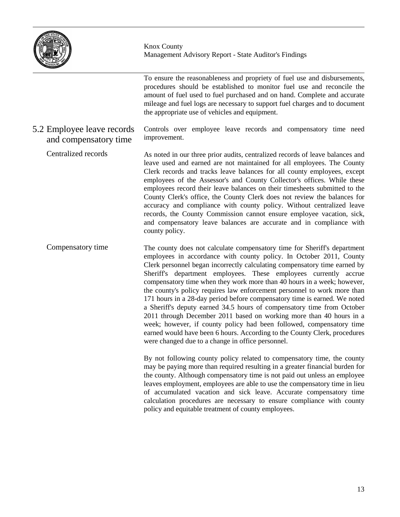

5.2 Employee leave records and compensatory time

Knox County Management Advisory Report - State Auditor's Findings

To ensure the reasonableness and propriety of fuel use and disbursements, procedures should be established to monitor fuel use and reconcile the amount of fuel used to fuel purchased and on hand. Complete and accurate mileage and fuel logs are necessary to support fuel charges and to document the appropriate use of vehicles and equipment.

Controls over employee leave records and compensatory time need improvement.

As noted in our three prior audits, centralized records of leave balances and leave used and earned are not maintained for all employees. The County Clerk records and tracks leave balances for all county employees, except employees of the Assessor's and County Collector's offices. While these employees record their leave balances on their timesheets submitted to the County Clerk's office, the County Clerk does not review the balances for accuracy and compliance with county policy. Without centralized leave records, the County Commission cannot ensure employee vacation, sick, and compensatory leave balances are accurate and in compliance with county policy. Centralized records

The county does not calculate compensatory time for Sheriff's department employees in accordance with county policy. In October 2011, County Clerk personnel began incorrectly calculating compensatory time earned by Sheriff's department employees. These employees currently accrue compensatory time when they work more than 40 hours in a week; however, the county's policy requires law enforcement personnel to work more than 171 hours in a 28-day period before compensatory time is earned. We noted a Sheriff's deputy earned 34.5 hours of compensatory time from October 2011 through December 2011 based on working more than 40 hours in a week; however, if county policy had been followed, compensatory time earned would have been 6 hours. According to the County Clerk, procedures were changed due to a change in office personnel. Compensatory time

> By not following county policy related to compensatory time, the county may be paying more than required resulting in a greater financial burden for the county. Although compensatory time is not paid out unless an employee leaves employment, employees are able to use the compensatory time in lieu of accumulated vacation and sick leave. Accurate compensatory time calculation procedures are necessary to ensure compliance with county policy and equitable treatment of county employees.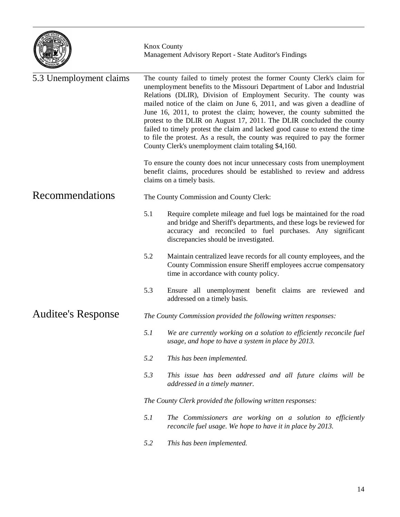

| 5.3 Unemployment claims   |     | The county failed to timely protest the former County Clerk's claim for<br>unemployment benefits to the Missouri Department of Labor and Industrial<br>Relations (DLIR), Division of Employment Security. The county was<br>mailed notice of the claim on June 6, 2011, and was given a deadline of<br>June 16, 2011, to protest the claim; however, the county submitted the<br>protest to the DLIR on August 17, 2011. The DLIR concluded the county<br>failed to timely protest the claim and lacked good cause to extend the time<br>to file the protest. As a result, the county was required to pay the former<br>County Clerk's unemployment claim totaling \$4,160. |
|---------------------------|-----|-----------------------------------------------------------------------------------------------------------------------------------------------------------------------------------------------------------------------------------------------------------------------------------------------------------------------------------------------------------------------------------------------------------------------------------------------------------------------------------------------------------------------------------------------------------------------------------------------------------------------------------------------------------------------------|
|                           |     | To ensure the county does not incur unnecessary costs from unemployment<br>benefit claims, procedures should be established to review and address<br>claims on a timely basis.                                                                                                                                                                                                                                                                                                                                                                                                                                                                                              |
| Recommendations           |     | The County Commission and County Clerk:                                                                                                                                                                                                                                                                                                                                                                                                                                                                                                                                                                                                                                     |
|                           | 5.1 | Require complete mileage and fuel logs be maintained for the road<br>and bridge and Sheriff's departments, and these logs be reviewed for<br>accuracy and reconciled to fuel purchases. Any significant<br>discrepancies should be investigated.                                                                                                                                                                                                                                                                                                                                                                                                                            |
|                           | 5.2 | Maintain centralized leave records for all county employees, and the<br>County Commission ensure Sheriff employees accrue compensatory<br>time in accordance with county policy.                                                                                                                                                                                                                                                                                                                                                                                                                                                                                            |
|                           | 5.3 | Ensure all unemployment benefit claims are reviewed and<br>addressed on a timely basis.                                                                                                                                                                                                                                                                                                                                                                                                                                                                                                                                                                                     |
| <b>Auditee's Response</b> |     | The County Commission provided the following written responses:                                                                                                                                                                                                                                                                                                                                                                                                                                                                                                                                                                                                             |
|                           | 5.1 | We are currently working on a solution to efficiently reconcile fuel<br>usage, and hope to have a system in place by 2013.                                                                                                                                                                                                                                                                                                                                                                                                                                                                                                                                                  |
|                           | 5.2 | This has been implemented.                                                                                                                                                                                                                                                                                                                                                                                                                                                                                                                                                                                                                                                  |
|                           | 5.3 | This issue has been addressed and all future claims will be<br>addressed in a timely manner.                                                                                                                                                                                                                                                                                                                                                                                                                                                                                                                                                                                |
|                           |     | The County Clerk provided the following written responses:                                                                                                                                                                                                                                                                                                                                                                                                                                                                                                                                                                                                                  |
|                           | 5.1 | The Commissioners are working on a solution to efficiently<br>reconcile fuel usage. We hope to have it in place by 2013.                                                                                                                                                                                                                                                                                                                                                                                                                                                                                                                                                    |
|                           | 5.2 | This has been implemented.                                                                                                                                                                                                                                                                                                                                                                                                                                                                                                                                                                                                                                                  |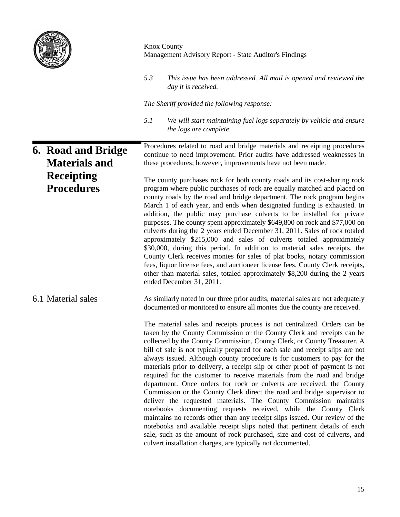

|                                            | <b>Knox County</b><br>Management Advisory Report - State Auditor's Findings                                                                                                                                                                                                                                                                                                                                                                                                                                                                                                                                                                                                                                                                                                                                                                                                                                                                                                                                                                                                                                                                                   |
|--------------------------------------------|---------------------------------------------------------------------------------------------------------------------------------------------------------------------------------------------------------------------------------------------------------------------------------------------------------------------------------------------------------------------------------------------------------------------------------------------------------------------------------------------------------------------------------------------------------------------------------------------------------------------------------------------------------------------------------------------------------------------------------------------------------------------------------------------------------------------------------------------------------------------------------------------------------------------------------------------------------------------------------------------------------------------------------------------------------------------------------------------------------------------------------------------------------------|
|                                            | 5.3<br>This issue has been addressed. All mail is opened and reviewed the<br>day it is received.                                                                                                                                                                                                                                                                                                                                                                                                                                                                                                                                                                                                                                                                                                                                                                                                                                                                                                                                                                                                                                                              |
|                                            | The Sheriff provided the following response:                                                                                                                                                                                                                                                                                                                                                                                                                                                                                                                                                                                                                                                                                                                                                                                                                                                                                                                                                                                                                                                                                                                  |
|                                            | 5.1<br>We will start maintaining fuel logs separately by vehicle and ensure<br>the logs are complete.                                                                                                                                                                                                                                                                                                                                                                                                                                                                                                                                                                                                                                                                                                                                                                                                                                                                                                                                                                                                                                                         |
| 6. Road and Bridge<br><b>Materials and</b> | Procedures related to road and bridge materials and receipting procedures<br>continue to need improvement. Prior audits have addressed weaknesses in<br>these procedures; however, improvements have not been made.                                                                                                                                                                                                                                                                                                                                                                                                                                                                                                                                                                                                                                                                                                                                                                                                                                                                                                                                           |
| <b>Receipting</b><br><b>Procedures</b>     | The county purchases rock for both county roads and its cost-sharing rock<br>program where public purchases of rock are equally matched and placed on<br>county roads by the road and bridge department. The rock program begins<br>March 1 of each year, and ends when designated funding is exhausted. In<br>addition, the public may purchase culverts to be installed for private<br>purposes. The county spent approximately \$649,800 on rock and \$77,000 on<br>culverts during the 2 years ended December 31, 2011. Sales of rock totaled<br>approximately \$215,000 and sales of culverts totaled approximately<br>\$30,000, during this period. In addition to material sales receipts, the<br>County Clerk receives monies for sales of plat books, notary commission<br>fees, liquor license fees, and auctioneer license fees. County Clerk receipts,<br>other than material sales, totaled approximately \$8,200 during the 2 years<br>ended December 31, 2011.                                                                                                                                                                                 |
| 6.1 Material sales                         | As similarly noted in our three prior audits, material sales are not adequately<br>documented or monitored to ensure all monies due the county are received.                                                                                                                                                                                                                                                                                                                                                                                                                                                                                                                                                                                                                                                                                                                                                                                                                                                                                                                                                                                                  |
|                                            | The material sales and receipts process is not centralized. Orders can be<br>taken by the County Commission or the County Clerk and receipts can be<br>collected by the County Commission, County Clerk, or County Treasurer. A<br>bill of sale is not typically prepared for each sale and receipt slips are not<br>always issued. Although county procedure is for customers to pay for the<br>materials prior to delivery, a receipt slip or other proof of payment is not<br>required for the customer to receive materials from the road and bridge<br>department. Once orders for rock or culverts are received, the County<br>Commission or the County Clerk direct the road and bridge supervisor to<br>deliver the requested materials. The County Commission maintains<br>notebooks documenting requests received, while the County Clerk<br>maintains no records other than any receipt slips issued. Our review of the<br>notebooks and available receipt slips noted that pertinent details of each<br>sale, such as the amount of rock purchased, size and cost of culverts, and<br>culvert installation charges, are typically not documented. |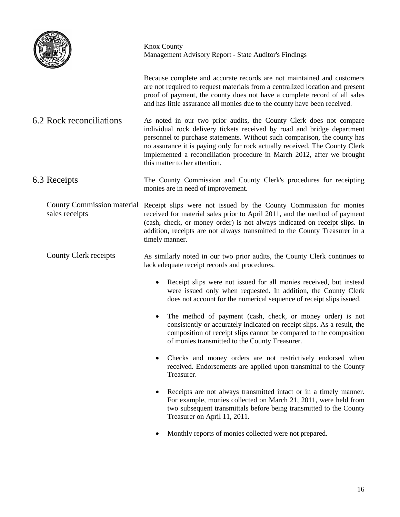|                                                     | <b>Knox County</b><br>Management Advisory Report - State Auditor's Findings                                                                                                                                                                                                                                                                                                                                           |  |
|-----------------------------------------------------|-----------------------------------------------------------------------------------------------------------------------------------------------------------------------------------------------------------------------------------------------------------------------------------------------------------------------------------------------------------------------------------------------------------------------|--|
|                                                     | Because complete and accurate records are not maintained and customers<br>are not required to request materials from a centralized location and present<br>proof of payment, the county does not have a complete record of all sales<br>and has little assurance all monies due to the county have been received.                                                                                                     |  |
| 6.2 Rock reconciliations                            | As noted in our two prior audits, the County Clerk does not compare<br>individual rock delivery tickets received by road and bridge department<br>personnel to purchase statements. Without such comparison, the county has<br>no assurance it is paying only for rock actually received. The County Clerk<br>implemented a reconciliation procedure in March 2012, after we brought<br>this matter to her attention. |  |
| 6.3 Receipts                                        | The County Commission and County Clerk's procedures for receipting<br>monies are in need of improvement.                                                                                                                                                                                                                                                                                                              |  |
| <b>County Commission material</b><br>sales receipts | Receipt slips were not issued by the County Commission for monies<br>received for material sales prior to April 2011, and the method of payment<br>(cash, check, or money order) is not always indicated on receipt slips. In<br>addition, receipts are not always transmitted to the County Treasurer in a<br>timely manner.                                                                                         |  |
| County Clerk receipts                               | As similarly noted in our two prior audits, the County Clerk continues to<br>lack adequate receipt records and procedures.                                                                                                                                                                                                                                                                                            |  |
|                                                     | Receipt slips were not issued for all monies received, but instead<br>were issued only when requested. In addition, the County Clerk<br>does not account for the numerical sequence of receipt slips issued.                                                                                                                                                                                                          |  |
|                                                     | The method of payment (cash, check, or money order) is not<br>consistently or accurately indicated on receipt slips. As a result, the<br>composition of receipt slips cannot be compared to the composition<br>of monies transmitted to the County Treasurer.                                                                                                                                                         |  |
|                                                     | Checks and money orders are not restrictively endorsed when<br>٠<br>received. Endorsements are applied upon transmittal to the County<br>Treasurer.                                                                                                                                                                                                                                                                   |  |
|                                                     | Receipts are not always transmitted intact or in a timely manner.<br>For example, monies collected on March 21, 2011, were held from<br>two subsequent transmittals before being transmitted to the County<br>Treasurer on April 11, 2011.                                                                                                                                                                            |  |
|                                                     | Monthly reports of monies collected were not prepared.                                                                                                                                                                                                                                                                                                                                                                |  |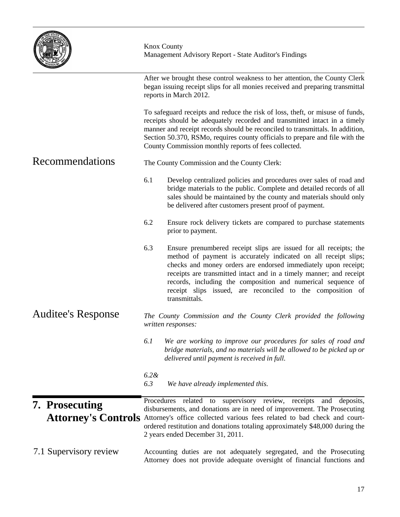|                                              | <b>Knox County</b><br>Management Advisory Report - State Auditor's Findings                                                                                                                                                                                                                                                                                                                                                         |  |  |  |
|----------------------------------------------|-------------------------------------------------------------------------------------------------------------------------------------------------------------------------------------------------------------------------------------------------------------------------------------------------------------------------------------------------------------------------------------------------------------------------------------|--|--|--|
|                                              | After we brought these control weakness to her attention, the County Clerk<br>began issuing receipt slips for all monies received and preparing transmittal<br>reports in March 2012.                                                                                                                                                                                                                                               |  |  |  |
|                                              | To safeguard receipts and reduce the risk of loss, theft, or misuse of funds,<br>receipts should be adequately recorded and transmitted intact in a timely<br>manner and receipt records should be reconciled to transmittals. In addition,<br>Section 50.370, RSMo, requires county officials to prepare and file with the<br>County Commission monthly reports of fees collected.                                                 |  |  |  |
| Recommendations                              | The County Commission and the County Clerk:                                                                                                                                                                                                                                                                                                                                                                                         |  |  |  |
|                                              | 6.1<br>Develop centralized policies and procedures over sales of road and<br>bridge materials to the public. Complete and detailed records of all<br>sales should be maintained by the county and materials should only<br>be delivered after customers present proof of payment.                                                                                                                                                   |  |  |  |
|                                              | 6.2<br>Ensure rock delivery tickets are compared to purchase statements<br>prior to payment.                                                                                                                                                                                                                                                                                                                                        |  |  |  |
|                                              | 6.3<br>Ensure prenumbered receipt slips are issued for all receipts; the<br>method of payment is accurately indicated on all receipt slips;<br>checks and money orders are endorsed immediately upon receipt;<br>receipts are transmitted intact and in a timely manner; and receipt<br>records, including the composition and numerical sequence of<br>receipt slips issued, are reconciled to the composition of<br>transmittals. |  |  |  |
| <b>Auditee's Response</b>                    | The County Commission and the County Clerk provided the following<br>written responses:                                                                                                                                                                                                                                                                                                                                             |  |  |  |
|                                              | 6.1<br>We are working to improve our procedures for sales of road and<br>bridge materials, and no materials will be allowed to be picked up or<br>delivered until payment is received in full.                                                                                                                                                                                                                                      |  |  |  |
|                                              | $6.2\&$<br>6.3<br>We have already implemented this.                                                                                                                                                                                                                                                                                                                                                                                 |  |  |  |
| 7. Prosecuting<br><b>Attorney's Controls</b> | Procedures related to supervisory review, receipts and deposits,<br>disbursements, and donations are in need of improvement. The Prosecuting<br>Attorney's office collected various fees related to bad check and court-<br>ordered restitution and donations totaling approximately \$48,000 during the<br>2 years ended December 31, 2011.                                                                                        |  |  |  |
| 7.1 Supervisory review                       | Accounting duties are not adequately segregated, and the Prosecuting<br>Attorney does not provide adequate oversight of financial functions and                                                                                                                                                                                                                                                                                     |  |  |  |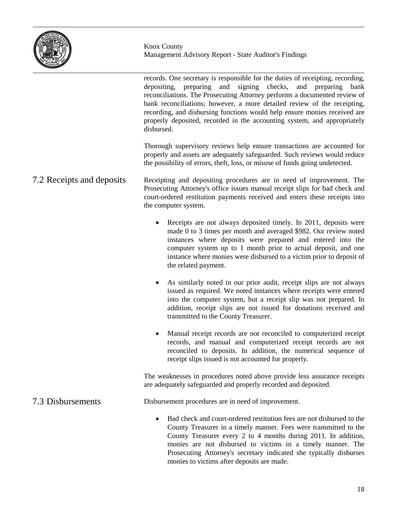

records. One secretary is responsible for the duties of receipting, recording, depositing, preparing and signing checks, and preparing bank reconciliations. The Prosecuting Attorney performs a documented review of bank reconciliations; however, a more detailed review of the receipting, recording, and disbursing functions would help ensure monies received are properly deposited, recorded in the accounting system, and appropriately disbursed.

Thorough supervisory reviews help ensure transactions are accounted for properly and assets are adequately safeguarded. Such reviews would reduce the possibility of errors, theft, loss, or misuse of funds going undetected.

- Receipting and depositing procedures are in need of improvement. The Prosecuting Attorney's office issues manual receipt slips for bad check and court-ordered restitution payments received and enters these receipts into the computer system. 7.2 Receipts and deposits
	- Receipts are not always deposited timely. In 2011, deposits were made 0 to 3 times per month and averaged \$982. Our review noted instances where deposits were prepared and entered into the computer system up to 1 month prior to actual deposit, and one instance where monies were disbursed to a victim prior to deposit of the related payment.
	- As similarly noted in our prior audit, receipt slips are not always issued as required. We noted instances where receipts were entered into the computer system, but a receipt slip was not prepared. In addition, receipt slips are not issued for donations received and transmitted to the County Treasurer.
	- Manual receipt records are not reconciled to computerized receipt records, and manual and computerized receipt records are not reconciled to deposits. In addition, the numerical sequence of receipt slips issued is not accounted for properly.

The weaknesses in procedures noted above provide less assurance receipts are adequately safeguarded and properly recorded and deposited.

#### Disbursement procedures are in need of improvement. 7.3 Disbursements

• Bad check and court-ordered restitution fees are not disbursed to the County Treasurer in a timely manner. Fees were transmitted to the County Treasurer every 2 to 4 months during 2011. In addition, monies are not disbursed to victims in a timely manner. The Prosecuting Attorney's secretary indicated she typically disburses monies to victims after deposits are made.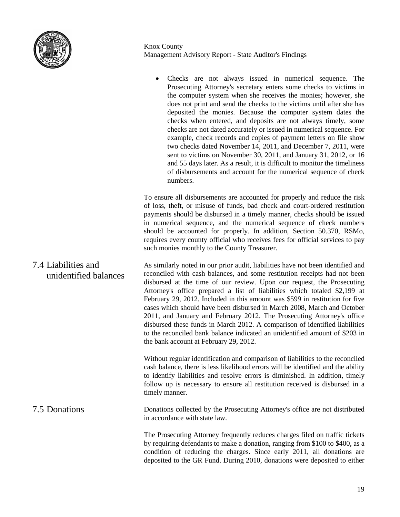

|                                              | Checks are not always issued in numerical sequence. The<br>Prosecuting Attorney's secretary enters some checks to victims in<br>the computer system when she receives the monies; however, she<br>does not print and send the checks to the victims until after she has<br>deposited the monies. Because the computer system dates the<br>checks when entered, and deposits are not always timely, some<br>checks are not dated accurately or issued in numerical sequence. For<br>example, check records and copies of payment letters on file show<br>two checks dated November 14, 2011, and December 7, 2011, were<br>sent to victims on November 30, 2011, and January 31, 2012, or 16<br>and 55 days later. As a result, it is difficult to monitor the timeliness<br>of disbursements and account for the numerical sequence of check<br>numbers. |
|----------------------------------------------|----------------------------------------------------------------------------------------------------------------------------------------------------------------------------------------------------------------------------------------------------------------------------------------------------------------------------------------------------------------------------------------------------------------------------------------------------------------------------------------------------------------------------------------------------------------------------------------------------------------------------------------------------------------------------------------------------------------------------------------------------------------------------------------------------------------------------------------------------------|
|                                              | To ensure all disbursements are accounted for properly and reduce the risk<br>of loss, theft, or misuse of funds, bad check and court-ordered restitution<br>payments should be disbursed in a timely manner, checks should be issued<br>in numerical sequence, and the numerical sequence of check numbers<br>should be accounted for properly. In addition, Section 50.370, RSMo,<br>requires every county official who receives fees for official services to pay<br>such monies monthly to the County Treasurer.                                                                                                                                                                                                                                                                                                                                     |
| 7.4 Liabilities and<br>unidentified balances | As similarly noted in our prior audit, liabilities have not been identified and<br>reconciled with cash balances, and some restitution receipts had not been<br>disbursed at the time of our review. Upon our request, the Prosecuting<br>Attorney's office prepared a list of liabilities which totaled \$2,199 at<br>February 29, 2012. Included in this amount was \$599 in restitution for five<br>cases which should have been disbursed in March 2008, March and October<br>2011, and January and February 2012. The Prosecuting Attorney's office<br>disbursed these funds in March 2012. A comparison of identified liabilities<br>to the reconciled bank balance indicated an unidentified amount of \$203 in<br>the bank account at February 29, 2012.                                                                                         |
|                                              | Without regular identification and comparison of liabilities to the reconciled<br>cash balance, there is less likelihood errors will be identified and the ability<br>to identify liabilities and resolve errors is diminished. In addition, timely<br>follow up is necessary to ensure all restitution received is disbursed in a<br>timely manner.                                                                                                                                                                                                                                                                                                                                                                                                                                                                                                     |
| 7.5 Donations                                | Donations collected by the Prosecuting Attorney's office are not distributed<br>in accordance with state law.                                                                                                                                                                                                                                                                                                                                                                                                                                                                                                                                                                                                                                                                                                                                            |
|                                              | The Prosecuting Attorney frequently reduces charges filed on traffic tickets<br>by requiring defendants to make a donation, ranging from \$100 to \$400, as a<br>condition of reducing the charges. Since early 2011, all donations are<br>deposited to the GR Fund. During 2010, donations were deposited to either                                                                                                                                                                                                                                                                                                                                                                                                                                                                                                                                     |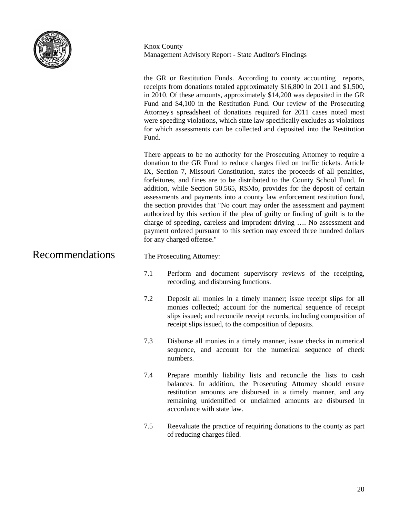

the GR or Restitution Funds. According to county accounting reports, receipts from donations totaled approximately \$16,800 in 2011 and \$1,500, in 2010. Of these amounts, approximately \$14,200 was deposited in the GR Fund and \$4,100 in the Restitution Fund. Our review of the Prosecuting Attorney's spreadsheet of donations required for 2011 cases noted most were speeding violations, which state law specifically excludes as violations for which assessments can be collected and deposited into the Restitution Fund.

There appears to be no authority for the Prosecuting Attorney to require a donation to the GR Fund to reduce charges filed on traffic tickets. Article IX, Section 7, Missouri Constitution, states the proceeds of all penalties, forfeitures, and fines are to be distributed to the County School Fund. In addition, while Section 50.565, RSMo, provides for the deposit of certain assessments and payments into a county law enforcement restitution fund, the section provides that "No court may order the assessment and payment authorized by this section if the plea of guilty or finding of guilt is to the charge of speeding, careless and imprudent driving …. No assessment and payment ordered pursuant to this section may exceed three hundred dollars for any charged offense."

#### Recommendations

- The Prosecuting Attorney:
- 7.1 Perform and document supervisory reviews of the receipting, recording, and disbursing functions.
- 7.2 Deposit all monies in a timely manner; issue receipt slips for all monies collected; account for the numerical sequence of receipt slips issued; and reconcile receipt records, including composition of receipt slips issued, to the composition of deposits.
- 7.3 Disburse all monies in a timely manner, issue checks in numerical sequence, and account for the numerical sequence of check numbers.
- 7.4 Prepare monthly liability lists and reconcile the lists to cash balances. In addition, the Prosecuting Attorney should ensure restitution amounts are disbursed in a timely manner, and any remaining unidentified or unclaimed amounts are disbursed in accordance with state law.
- 7.5 Reevaluate the practice of requiring donations to the county as part of reducing charges filed.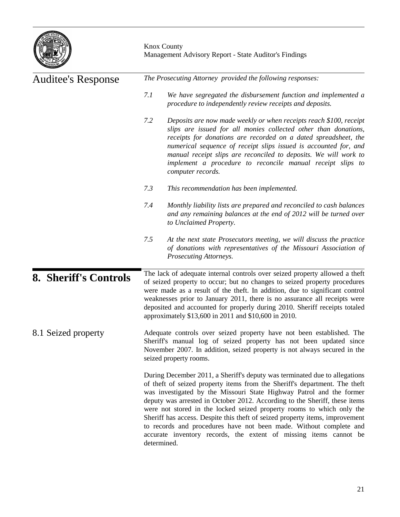

| <b>Auditee's Response</b>    | The Prosecuting Attorney provided the following responses:                                                                                                                                                                                                                                                                                                                                                                                                                                                                                                                                                                        |  |  |
|------------------------------|-----------------------------------------------------------------------------------------------------------------------------------------------------------------------------------------------------------------------------------------------------------------------------------------------------------------------------------------------------------------------------------------------------------------------------------------------------------------------------------------------------------------------------------------------------------------------------------------------------------------------------------|--|--|
|                              | 7.1<br>We have segregated the disbursement function and implemented a<br>procedure to independently review receipts and deposits.                                                                                                                                                                                                                                                                                                                                                                                                                                                                                                 |  |  |
|                              | 7.2<br>Deposits are now made weekly or when receipts reach \$100, receipt<br>slips are issued for all monies collected other than donations,<br>receipts for donations are recorded on a dated spreadsheet, the<br>numerical sequence of receipt slips issued is accounted for, and<br>manual receipt slips are reconciled to deposits. We will work to<br>implement a procedure to reconcile manual receipt slips to<br>computer records.                                                                                                                                                                                        |  |  |
|                              | 7.3<br>This recommendation has been implemented.                                                                                                                                                                                                                                                                                                                                                                                                                                                                                                                                                                                  |  |  |
|                              | 7.4<br>Monthly liability lists are prepared and reconciled to cash balances<br>and any remaining balances at the end of 2012 will be turned over<br>to Unclaimed Property.                                                                                                                                                                                                                                                                                                                                                                                                                                                        |  |  |
|                              | 7.5<br>At the next state Prosecutors meeting, we will discuss the practice<br>of donations with representatives of the Missouri Association of<br>Prosecuting Attorneys.                                                                                                                                                                                                                                                                                                                                                                                                                                                          |  |  |
| <b>8. Sheriff's Controls</b> | The lack of adequate internal controls over seized property allowed a theft<br>of seized property to occur; but no changes to seized property procedures<br>were made as a result of the theft. In addition, due to significant control<br>weaknesses prior to January 2011, there is no assurance all receipts were<br>deposited and accounted for properly during 2010. Sheriff receipts totaled<br>approximately \$13,600 in 2011 and \$10,600 in 2010.                                                                                                                                                                        |  |  |
| 8.1 Seized property          | Adequate controls over seized property have not been established. The<br>Sheriff's manual log of seized property has not been updated since<br>November 2007. In addition, seized property is not always secured in the<br>seized property rooms.                                                                                                                                                                                                                                                                                                                                                                                 |  |  |
|                              | During December 2011, a Sheriff's deputy was terminated due to allegations<br>of theft of seized property items from the Sheriff's department. The theft<br>was investigated by the Missouri State Highway Patrol and the former<br>deputy was arrested in October 2012. According to the Sheriff, these items<br>were not stored in the locked seized property rooms to which only the<br>Sheriff has access. Despite this theft of seized property items, improvement<br>to records and procedures have not been made. Without complete and<br>accurate inventory records, the extent of missing items cannot be<br>determined. |  |  |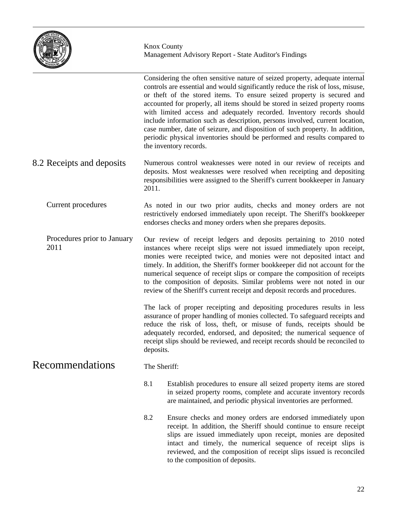

Considering the often sensitive nature of seized property, adequate internal controls are essential and would significantly reduce the risk of loss, misuse, or theft of the stored items. To ensure seized property is secured and accounted for properly, all items should be stored in seized property rooms with limited access and adequately recorded. Inventory records should include information such as description, persons involved, current location, case number, date of seizure, and disposition of such property. In addition, periodic physical inventories should be performed and results compared to the inventory records. Numerous control weaknesses were noted in our review of receipts and deposits. Most weaknesses were resolved when receipting and depositing responsibilities were assigned to the Sheriff's current bookkeeper in January 2011. As noted in our two prior audits, checks and money orders are not restrictively endorsed immediately upon receipt. The Sheriff's bookkeeper endorses checks and money orders when she prepares deposits. Our review of receipt ledgers and deposits pertaining to 2010 noted instances where receipt slips were not issued immediately upon receipt, monies were receipted twice, and monies were not deposited intact and timely. In addition, the Sheriff's former bookkeeper did not account for the numerical sequence of receipt slips or compare the composition of receipts to the composition of deposits. Similar problems were not noted in our review of the Sheriff's current receipt and deposit records and procedures. The lack of proper receipting and depositing procedures results in less assurance of proper handling of monies collected. To safeguard receipts and reduce the risk of loss, theft, or misuse of funds, receipts should be adequately recorded, endorsed, and deposited; the numerical sequence of receipt slips should be reviewed, and receipt records should be reconciled to deposits. The Sheriff: 8.1 Establish procedures to ensure all seized property items are stored in seized property rooms, complete and accurate inventory records are maintained, and periodic physical inventories are performed. 8.2 Ensure checks and money orders are endorsed immediately upon receipt. In addition, the Sheriff should continue to ensure receipt 8.2 Receipts and deposits Current procedures Procedures prior to January 2011 Recommendations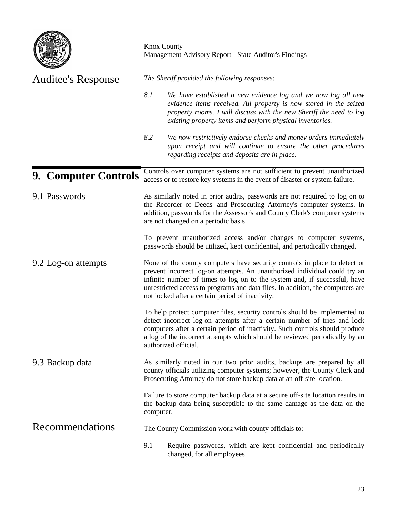| <b>HE STAT</b><br><b>DIVIOR</b><br>Е<br>þ<br>MISSOUR! |
|-------------------------------------------------------|
|-------------------------------------------------------|

| <b>Auditee's Response</b>   | The Sheriff provided the following responses:                                                                                                                                                                                                                                                                                                                              |  |  |
|-----------------------------|----------------------------------------------------------------------------------------------------------------------------------------------------------------------------------------------------------------------------------------------------------------------------------------------------------------------------------------------------------------------------|--|--|
|                             | 8.1<br>We have established a new evidence log and we now log all new<br>evidence items received. All property is now stored in the seized<br>property rooms. I will discuss with the new Sheriff the need to log<br>existing property items and perform physical inventories.                                                                                              |  |  |
|                             | 8.2<br>We now restrictively endorse checks and money orders immediately<br>upon receipt and will continue to ensure the other procedures<br>regarding receipts and deposits are in place.                                                                                                                                                                                  |  |  |
| <b>9. Computer Controls</b> | Controls over computer systems are not sufficient to prevent unauthorized<br>access or to restore key systems in the event of disaster or system failure.                                                                                                                                                                                                                  |  |  |
| 9.1 Passwords               | As similarly noted in prior audits, passwords are not required to log on to<br>the Recorder of Deeds' and Prosecuting Attorney's computer systems. In<br>addition, passwords for the Assessor's and County Clerk's computer systems<br>are not changed on a periodic basis.                                                                                                |  |  |
|                             | To prevent unauthorized access and/or changes to computer systems,<br>passwords should be utilized, kept confidential, and periodically changed.                                                                                                                                                                                                                           |  |  |
| 9.2 Log-on attempts         | None of the county computers have security controls in place to detect or<br>prevent incorrect log-on attempts. An unauthorized individual could try an<br>infinite number of times to log on to the system and, if successful, have<br>unrestricted access to programs and data files. In addition, the computers are<br>not locked after a certain period of inactivity. |  |  |
|                             | To help protect computer files, security controls should be implemented to<br>detect incorrect log-on attempts after a certain number of tries and lock<br>computers after a certain period of inactivity. Such controls should produce<br>a log of the incorrect attempts which should be reviewed periodically by an<br>authorized official.                             |  |  |
| 9.3 Backup data             | As similarly noted in our two prior audits, backups are prepared by all<br>county officials utilizing computer systems; however, the County Clerk and<br>Prosecuting Attorney do not store backup data at an off-site location.                                                                                                                                            |  |  |
|                             | Failure to store computer backup data at a secure off-site location results in<br>the backup data being susceptible to the same damage as the data on the<br>computer.                                                                                                                                                                                                     |  |  |
| <b>Recommendations</b>      | The County Commission work with county officials to:                                                                                                                                                                                                                                                                                                                       |  |  |
|                             | 9.1<br>Require passwords, which are kept confidential and periodically<br>changed, for all employees.                                                                                                                                                                                                                                                                      |  |  |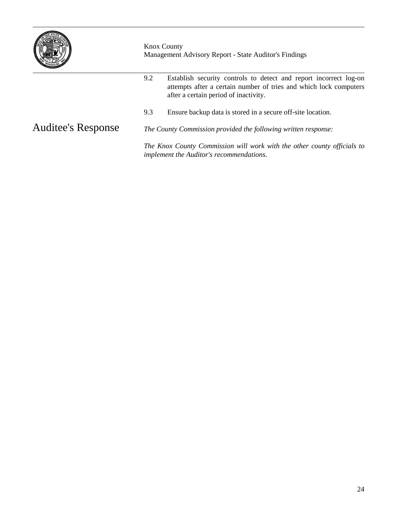

9.2 Establish security controls to detect and report incorrect log-on attempts after a certain number of tries and which lock computers after a certain period of inactivity. 9.3 Ensure backup data is stored in a secure off-site location.

Auditee's Response

*The County Commission provided the following written response:*

*The Knox County Commission will work with the other county officials to implement the Auditor's recommendations.*